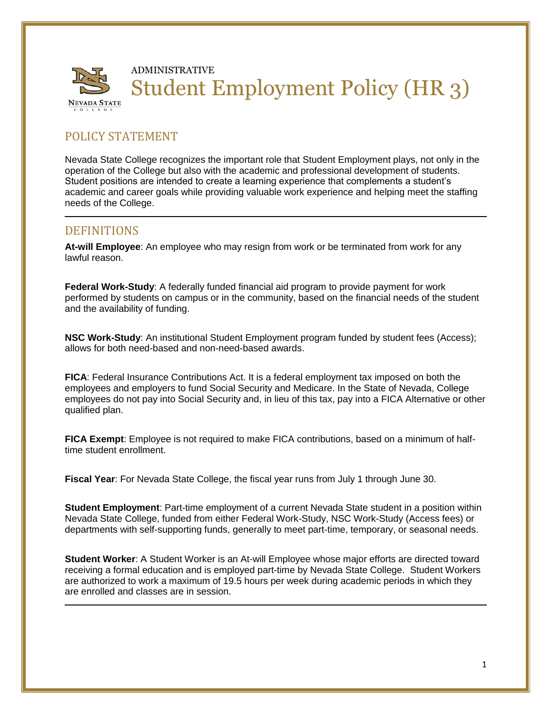

# POLICY STATEMENT

Nevada State College recognizes the important role that Student Employment plays, not only in the operation of the College but also with the academic and professional development of students. Student positions are intended to create a learning experience that complements a student's academic and career goals while providing valuable work experience and helping meet the staffing needs of the College.

## **DEFINITIONS**

**At-will Employee**: An employee who may resign from work or be terminated from work for any lawful reason.

**Federal Work-Study**: A federally funded financial aid program to provide payment for work performed by students on campus or in the community, based on the financial needs of the student and the availability of funding.

**NSC Work-Study**: An institutional Student Employment program funded by student fees (Access); allows for both need-based and non-need-based awards.

**FICA**: Federal Insurance Contributions Act. It is a federal employment tax imposed on both the employees and employers to fund Social Security and Medicare. In the State of Nevada, College employees do not pay into Social Security and, in lieu of this tax, pay into a FICA Alternative or other qualified plan.

**FICA Exempt**: Employee is not required to make FICA contributions, based on a minimum of halftime student enrollment.

**Fiscal Year**: For Nevada State College, the fiscal year runs from July 1 through June 30.

**Student Employment**: Part-time employment of a current Nevada State student in a position within Nevada State College, funded from either Federal Work-Study, NSC Work-Study (Access fees) or departments with self-supporting funds, generally to meet part-time, temporary, or seasonal needs.

**Student Worker**: A Student Worker is an At-will Employee whose major efforts are directed toward receiving a formal education and is employed part-time by Nevada State College. Student Workers are authorized to work a maximum of 19.5 hours per week during academic periods in which they are enrolled and classes are in session.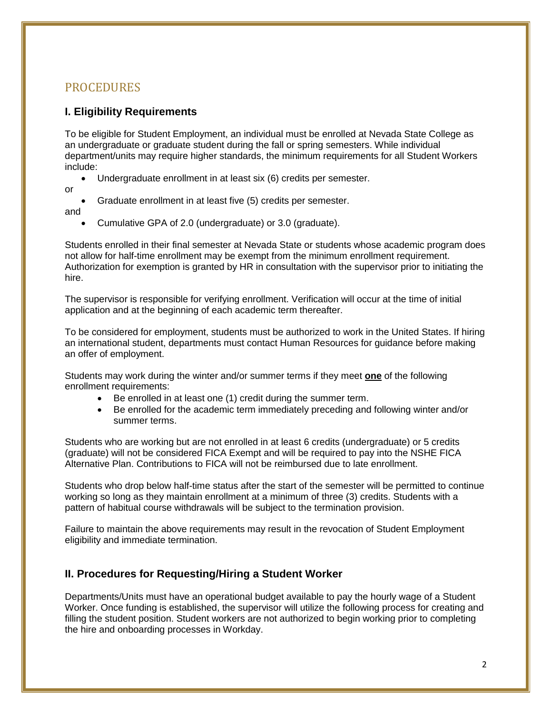# PROCEDURES

## **I. Eligibility Requirements**

To be eligible for Student Employment, an individual must be enrolled at Nevada State College as an undergraduate or graduate student during the fall or spring semesters. While individual department/units may require higher standards, the minimum requirements for all Student Workers include:

Undergraduate enrollment in at least six (6) credits per semester.

or

Graduate enrollment in at least five (5) credits per semester.

and

Cumulative GPA of 2.0 (undergraduate) or 3.0 (graduate).

Students enrolled in their final semester at Nevada State or students whose academic program does not allow for half-time enrollment may be exempt from the minimum enrollment requirement. Authorization for exemption is granted by HR in consultation with the supervisor prior to initiating the hire.

The supervisor is responsible for verifying enrollment. Verification will occur at the time of initial application and at the beginning of each academic term thereafter.

To be considered for employment, students must be authorized to work in the United States. If hiring an international student, departments must contact Human Resources for guidance before making an offer of employment.

Students may work during the winter and/or summer terms if they meet **one** of the following enrollment requirements:

- Be enrolled in at least one (1) credit during the summer term.
- Be enrolled for the academic term immediately preceding and following winter and/or summer terms.

Students who are working but are not enrolled in at least 6 credits (undergraduate) or 5 credits (graduate) will not be considered FICA Exempt and will be required to pay into the NSHE FICA Alternative Plan. Contributions to FICA will not be reimbursed due to late enrollment.

Students who drop below half-time status after the start of the semester will be permitted to continue working so long as they maintain enrollment at a minimum of three (3) credits. Students with a pattern of habitual course withdrawals will be subject to the termination provision.

Failure to maintain the above requirements may result in the revocation of Student Employment eligibility and immediate termination.

## **II. Procedures for Requesting/Hiring a Student Worker**

Departments/Units must have an operational budget available to pay the hourly wage of a Student Worker. Once funding is established, the supervisor will utilize the following process for creating and filling the student position. Student workers are not authorized to begin working prior to completing the hire and onboarding processes in Workday.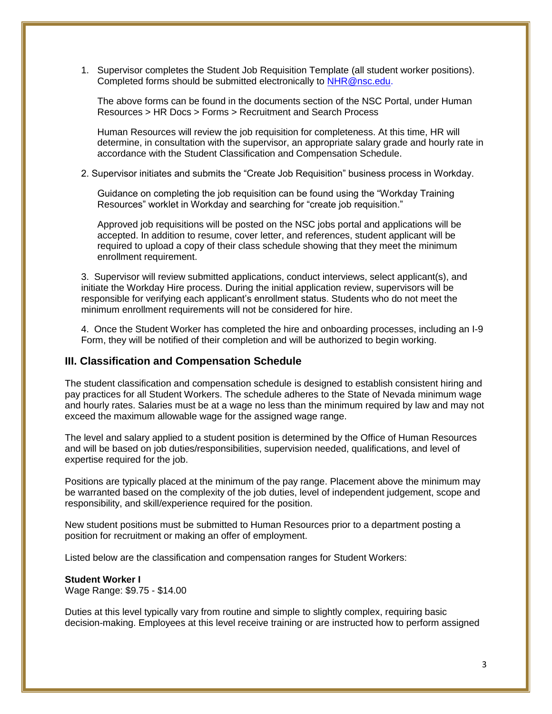1. Supervisor completes the Student Job Requisition Template (all student worker positions). Completed forms should be submitted electronically to [NHR@nsc.edu.](mailto:NHR@nsc.edu)

The above forms can be found in the documents section of the NSC Portal, under Human Resources > HR Docs > Forms > Recruitment and Search Process

Human Resources will review the job requisition for completeness. At this time, HR will determine, in consultation with the supervisor, an appropriate salary grade and hourly rate in accordance with the Student Classification and Compensation Schedule.

2. Supervisor initiates and submits the "Create Job Requisition" business process in Workday.

Guidance on completing the job requisition can be found using the "Workday Training Resources" worklet in Workday and searching for "create job requisition."

Approved job requisitions will be posted on the NSC jobs portal and applications will be accepted. In addition to resume, cover letter, and references, student applicant will be required to upload a copy of their class schedule showing that they meet the minimum enrollment requirement.

3. Supervisor will review submitted applications, conduct interviews, select applicant(s), and initiate the Workday Hire process. During the initial application review, supervisors will be responsible for verifying each applicant's enrollment status. Students who do not meet the minimum enrollment requirements will not be considered for hire.

4. Once the Student Worker has completed the hire and onboarding processes, including an I-9 Form, they will be notified of their completion and will be authorized to begin working.

### **III. Classification and Compensation Schedule**

The student classification and compensation schedule is designed to establish consistent hiring and pay practices for all Student Workers. The schedule adheres to the State of Nevada minimum wage and hourly rates. Salaries must be at a wage no less than the minimum required by law and may not exceed the maximum allowable wage for the assigned wage range.

The level and salary applied to a student position is determined by the Office of Human Resources and will be based on job duties/responsibilities, supervision needed, qualifications, and level of expertise required for the job.

Positions are typically placed at the minimum of the pay range. Placement above the minimum may be warranted based on the complexity of the job duties, level of independent judgement, scope and responsibility, and skill/experience required for the position.

New student positions must be submitted to Human Resources prior to a department posting a position for recruitment or making an offer of employment.

Listed below are the classification and compensation ranges for Student Workers:

**Student Worker I**

Wage Range: \$9.75 - \$14.00

Duties at this level typically vary from routine and simple to slightly complex, requiring basic decision-making. Employees at this level receive training or are instructed how to perform assigned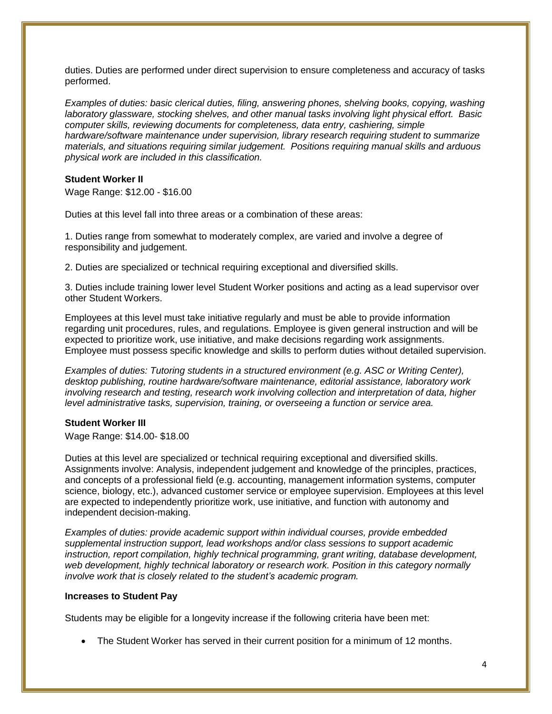duties. Duties are performed under direct supervision to ensure completeness and accuracy of tasks performed.

*Examples of duties: basic clerical duties, filing, answering phones, shelving books, copying, washing laboratory glassware, stocking shelves, and other manual tasks involving light physical effort. Basic computer skills, reviewing documents for completeness, data entry, cashiering, simple hardware/software maintenance under supervision, library research requiring student to summarize materials, and situations requiring similar judgement. Positions requiring manual skills and arduous physical work are included in this classification.*

#### **Student Worker II**

Wage Range: \$12.00 - \$16.00

Duties at this level fall into three areas or a combination of these areas:

1. Duties range from somewhat to moderately complex, are varied and involve a degree of responsibility and judgement.

2. Duties are specialized or technical requiring exceptional and diversified skills.

3. Duties include training lower level Student Worker positions and acting as a lead supervisor over other Student Workers.

Employees at this level must take initiative regularly and must be able to provide information regarding unit procedures, rules, and regulations. Employee is given general instruction and will be expected to prioritize work, use initiative, and make decisions regarding work assignments. Employee must possess specific knowledge and skills to perform duties without detailed supervision.

*Examples of duties: Tutoring students in a structured environment (e.g. ASC or Writing Center), desktop publishing, routine hardware/software maintenance, editorial assistance, laboratory work involving research and testing, research work involving collection and interpretation of data, higher level administrative tasks, supervision, training, or overseeing a function or service area.*

### **Student Worker III**

Wage Range: \$14.00- \$18.00

Duties at this level are specialized or technical requiring exceptional and diversified skills. Assignments involve: Analysis, independent judgement and knowledge of the principles, practices, and concepts of a professional field (e.g. accounting, management information systems, computer science, biology, etc.), advanced customer service or employee supervision. Employees at this level are expected to independently prioritize work, use initiative, and function with autonomy and independent decision-making.

*Examples of duties: provide academic support within individual courses, provide embedded supplemental instruction support, lead workshops and/or class sessions to support academic instruction, report compilation, highly technical programming, grant writing, database development, web development, highly technical laboratory or research work. Position in this category normally involve work that is closely related to the student's academic program.*

#### **Increases to Student Pay**

Students may be eligible for a longevity increase if the following criteria have been met:

The Student Worker has served in their current position for a minimum of 12 months.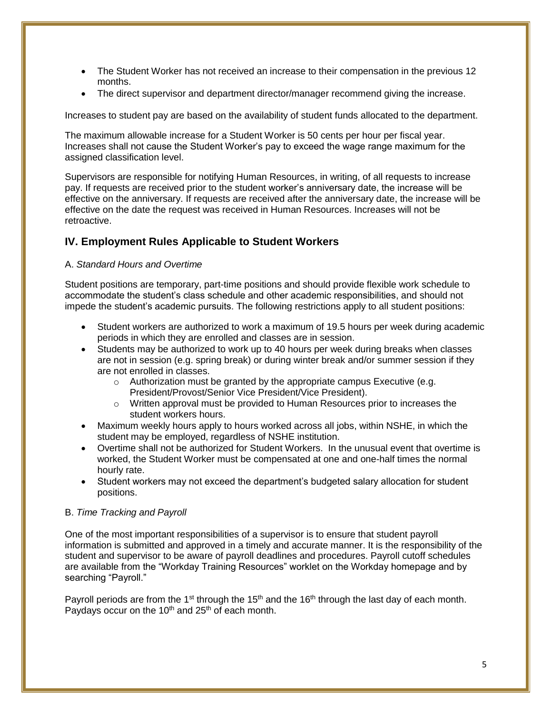- The Student Worker has not received an increase to their compensation in the previous 12 months.
- The direct supervisor and department director/manager recommend giving the increase.

Increases to student pay are based on the availability of student funds allocated to the department.

The maximum allowable increase for a Student Worker is 50 cents per hour per fiscal year. Increases shall not cause the Student Worker's pay to exceed the wage range maximum for the assigned classification level.

Supervisors are responsible for notifying Human Resources, in writing, of all requests to increase pay. If requests are received prior to the student worker's anniversary date, the increase will be effective on the anniversary. If requests are received after the anniversary date, the increase will be effective on the date the request was received in Human Resources. Increases will not be retroactive.

## **IV. Employment Rules Applicable to Student Workers**

### A. *Standard Hours and Overtime*

Student positions are temporary, part-time positions and should provide flexible work schedule to accommodate the student's class schedule and other academic responsibilities, and should not impede the student's academic pursuits. The following restrictions apply to all student positions:

- Student workers are authorized to work a maximum of 19.5 hours per week during academic periods in which they are enrolled and classes are in session.
- Students may be authorized to work up to 40 hours per week during breaks when classes are not in session (e.g. spring break) or during winter break and/or summer session if they are not enrolled in classes.
	- o Authorization must be granted by the appropriate campus Executive (e.g. President/Provost/Senior Vice President/Vice President).
	- $\circ$  Written approval must be provided to Human Resources prior to increases the student workers hours.
- Maximum weekly hours apply to hours worked across all jobs, within NSHE, in which the student may be employed, regardless of NSHE institution.
- Overtime shall not be authorized for Student Workers. In the unusual event that overtime is worked, the Student Worker must be compensated at one and one-half times the normal hourly rate.
- Student workers may not exceed the department's budgeted salary allocation for student positions.

### B. *Time Tracking and Payroll*

One of the most important responsibilities of a supervisor is to ensure that student payroll information is submitted and approved in a timely and accurate manner. It is the responsibility of the student and supervisor to be aware of payroll deadlines and procedures. Payroll cutoff schedules are available from the "Workday Training Resources" worklet on the Workday homepage and by searching "Payroll."

Payroll periods are from the 1<sup>st</sup> through the 15<sup>th</sup> and the 16<sup>th</sup> through the last day of each month. Paydays occur on the 10<sup>th</sup> and 25<sup>th</sup> of each month.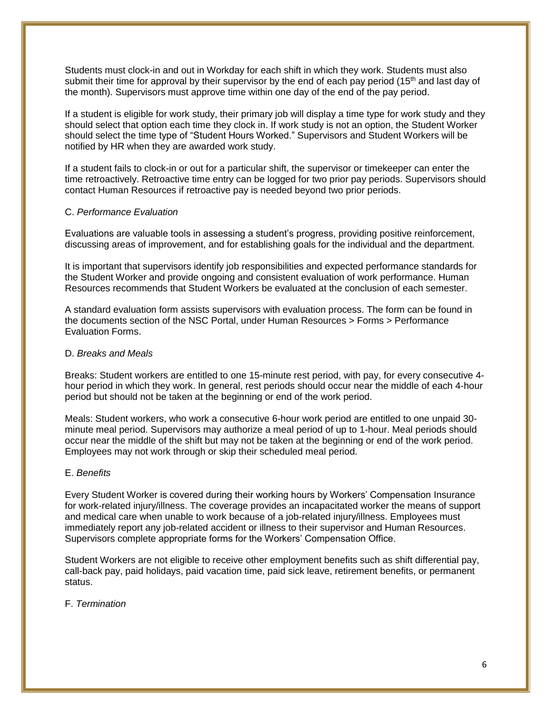Students must clock-in and out in Workday for each shift in which they work. Students must also submit their time for approval by their supervisor by the end of each pay period  $(15<sup>th</sup>$  and last day of the month). Supervisors must approve time within one day of the end of the pay period.

If a student is eligible for work study, their primary job will display a time type for work study and they should select that option each time they clock in. If work study is not an option, the Student Worker should select the time type of "Student Hours Worked." Supervisors and Student Workers will be notified by HR when they are awarded work study.

If a student fails to clock-in or out for a particular shift, the supervisor or timekeeper can enter the time retroactively. Retroactive time entry can be logged for two prior pay periods. Supervisors should contact Human Resources if retroactive pay is needed beyond two prior periods.

### C. *Performance Evaluation*

Evaluations are valuable tools in assessing a student's progress, providing positive reinforcement, discussing areas of improvement, and for establishing goals for the individual and the department.

It is important that supervisors identify job responsibilities and expected performance standards for the Student Worker and provide ongoing and consistent evaluation of work performance. Human Resources recommends that Student Workers be evaluated at the conclusion of each semester.

A standard evaluation form assists supervisors with evaluation process. The form can be found in the documents section of the NSC Portal, under Human Resources > Forms > Performance Evaluation Forms.

### D. *Breaks and Meals*

Breaks: Student workers are entitled to one 15-minute rest period, with pay, for every consecutive 4 hour period in which they work. In general, rest periods should occur near the middle of each 4-hour period but should not be taken at the beginning or end of the work period.

Meals: Student workers, who work a consecutive 6-hour work period are entitled to one unpaid 30 minute meal period. Supervisors may authorize a meal period of up to 1-hour. Meal periods should occur near the middle of the shift but may not be taken at the beginning or end of the work period. Employees may not work through or skip their scheduled meal period.

### E. *Benefits*

Every Student Worker is covered during their working hours by Workers' Compensation Insurance for work-related injury/illness. The coverage provides an incapacitated worker the means of support and medical care when unable to work because of a job-related injury/illness. Employees must immediately report any job-related accident or illness to their supervisor and Human Resources. Supervisors complete appropriate forms for the Workers' Compensation Office.

Student Workers are not eligible to receive other employment benefits such as shift differential pay, call-back pay, paid holidays, paid vacation time, paid sick leave, retirement benefits, or permanent status.

#### F. *Termination*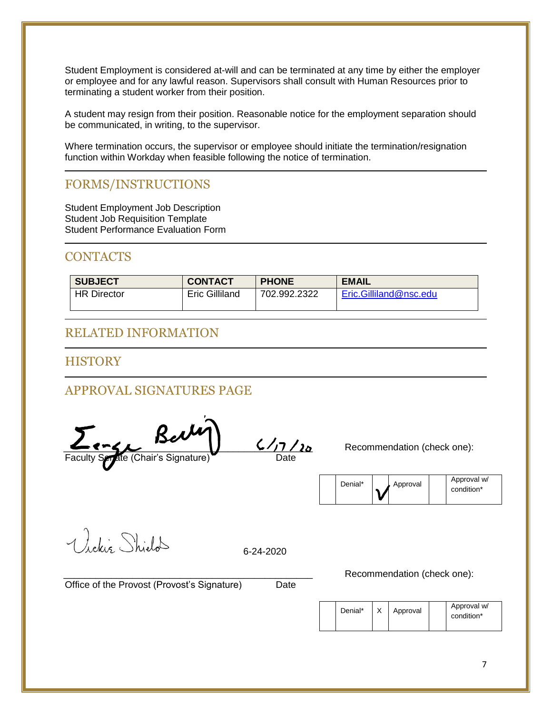Student Employment is considered at-will and can be terminated at any time by either the employer or employee and for any lawful reason. Supervisors shall consult with Human Resources prior to terminating a student worker from their position.

A student may resign from their position. Reasonable notice for the employment separation should be communicated, in writing, to the supervisor.

Where termination occurs, the supervisor or employee should initiate the termination/resignation function within Workday when feasible following the notice of termination.

# FORMS/INSTRUCTIONS

Student Employment Job Description Student Job Requisition Template Student Performance Evaluation Form

## **CONTACTS**

| <b>SUBJECT</b>     | <b>CONTACT</b>        | <b>PHONE</b> | <b>EMAIL</b>           |
|--------------------|-----------------------|--------------|------------------------|
| <b>HR Director</b> | <b>Eric Gilliland</b> | 702.992.2322 | Eric.Gilliland@nsc.edu |
|                    |                       |              |                        |

# RELATED INFORMATION

**HISTORY** 

# APPROVAL SIGNATURES PAGE



| Denial* | Approval | Approval w/<br>condition* |
|---------|----------|---------------------------|
|         |          |                           |

Victin Shield

6-24-2020

Office of the Provost (Provost's Signature) Date

Recommendation (check one):

| Denial* | Approval | Approval w/<br>condition* |
|---------|----------|---------------------------|
|         |          |                           |